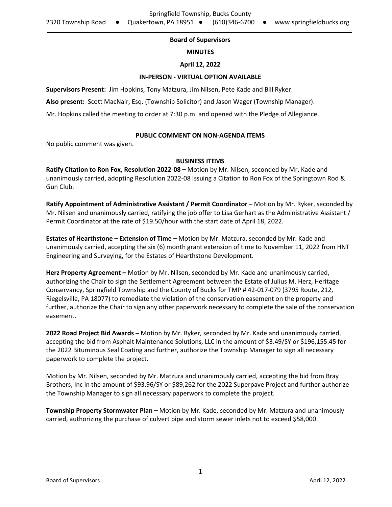# **Board of Supervisors**

## **MINUTES**

### **April 12, 2022**

### **IN-PERSON - VIRTUAL OPTION AVAILABLE**

**Supervisors Present:** Jim Hopkins, Tony Matzura, Jim Nilsen, Pete Kade and Bill Ryker.

**Also present:** Scott MacNair, Esq. (Township Solicitor) and Jason Wager (Township Manager).

Mr. Hopkins called the meeting to order at 7:30 p.m. and opened with the Pledge of Allegiance.

## **PUBLIC COMMENT ON NON-AGENDA ITEMS**

No public comment was given.

## **BUSINESS ITEMS**

**Ratify Citation to Ron Fox, Resolution 2022-08 –** Motion by Mr. Nilsen, seconded by Mr. Kade and unanimously carried, adopting Resolution 2022-08 Issuing a Citation to Ron Fox of the Springtown Rod & Gun Club.

**Ratify Appointment of Administrative Assistant / Permit Coordinator –** Motion by Mr. Ryker, seconded by Mr. Nilsen and unanimously carried, ratifying the job offer to Lisa Gerhart as the Administrative Assistant / Permit Coordinator at the rate of \$19.50/hour with the start date of April 18, 2022.

**Estates of Hearthstone – Extension of Time –** Motion by Mr. Matzura, seconded by Mr. Kade and unanimously carried, accepting the six (6) month grant extension of time to November 11, 2022 from HNT Engineering and Surveying, for the Estates of Hearthstone Development.

**Herz Property Agreement –** Motion by Mr. Nilsen, seconded by Mr. Kade and unanimously carried, authorizing the Chair to sign the Settlement Agreement between the Estate of Julius M. Herz, Heritage Conservancy, Springfield Township and the County of Bucks for TMP # 42-017-079 (3795 Route, 212, Riegelsville, PA 18077) to remediate the violation of the conservation easement on the property and further, authorize the Chair to sign any other paperwork necessary to complete the sale of the conservation easement.

**2022 Road Project Bid Awards –** Motion by Mr. Ryker, seconded by Mr. Kade and unanimously carried, accepting the bid from Asphalt Maintenance Solutions, LLC in the amount of \$3.49/SY or \$196,155.45 for the 2022 Bituminous Seal Coating and further, authorize the Township Manager to sign all necessary paperwork to complete the project.

Motion by Mr. Nilsen, seconded by Mr. Matzura and unanimously carried, accepting the bid from Bray Brothers, Inc in the amount of \$93.96/SY or \$89,262 for the 2022 Superpave Project and further authorize the Township Manager to sign all necessary paperwork to complete the project.

**Township Property Stormwater Plan –** Motion by Mr. Kade, seconded by Mr. Matzura and unanimously carried, authorizing the purchase of culvert pipe and storm sewer inlets not to exceed \$58,000.